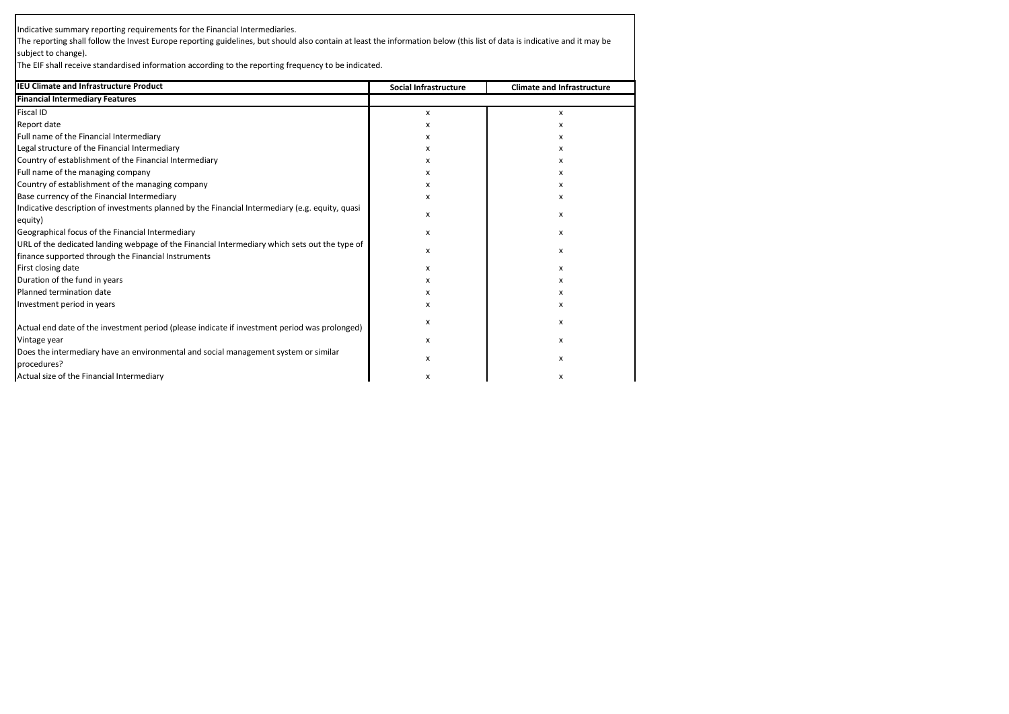Indicative summary reporting requirements for the Financial Intermediaries. The reporting shall follow the Invest Europe reporting guidelines, but should also contain at least the information below (this list of data is indicative and it may be subject to change).

The EIF shall receive standardised information according to the reporting frequency to be indicated.

| <b>IEU Climate and Infrastructure Product</b>                                                                                                        | <b>Social Infrastructure</b> | <b>Climate and Infrastructure</b> |
|------------------------------------------------------------------------------------------------------------------------------------------------------|------------------------------|-----------------------------------|
| <b>Financial Intermediary Features</b>                                                                                                               |                              |                                   |
| <b>Fiscal ID</b>                                                                                                                                     | x                            | x                                 |
| Report date                                                                                                                                          | x                            | x                                 |
| Full name of the Financial Intermediary                                                                                                              | x                            | x                                 |
| Legal structure of the Financial Intermediary                                                                                                        | x                            | x                                 |
| Country of establishment of the Financial Intermediary                                                                                               | x                            | x                                 |
| Full name of the managing company                                                                                                                    | x                            | x                                 |
| Country of establishment of the managing company                                                                                                     | x                            | x                                 |
| Base currency of the Financial Intermediary                                                                                                          | x                            | X                                 |
| Indicative description of investments planned by the Financial Intermediary (e.g. equity, quasi<br>equity)                                           | x                            | x                                 |
| Geographical focus of the Financial Intermediary                                                                                                     | x                            | x                                 |
| URL of the dedicated landing webpage of the Financial Intermediary which sets out the type of<br>finance supported through the Financial Instruments | x                            | x                                 |
| First closing date                                                                                                                                   | x                            | x                                 |
| Duration of the fund in years                                                                                                                        | x                            | x                                 |
| Planned termination date                                                                                                                             | x                            | x                                 |
| Investment period in years                                                                                                                           | x                            | x                                 |
| Actual end date of the investment period (please indicate if investment period was prolonged)                                                        | x                            | x                                 |
| Vintage year                                                                                                                                         | x                            | x                                 |
| Does the intermediary have an environmental and social management system or similar<br>procedures?                                                   | x                            | $\boldsymbol{\mathsf{x}}$         |
| Actual size of the Financial Intermediary                                                                                                            | x                            | x                                 |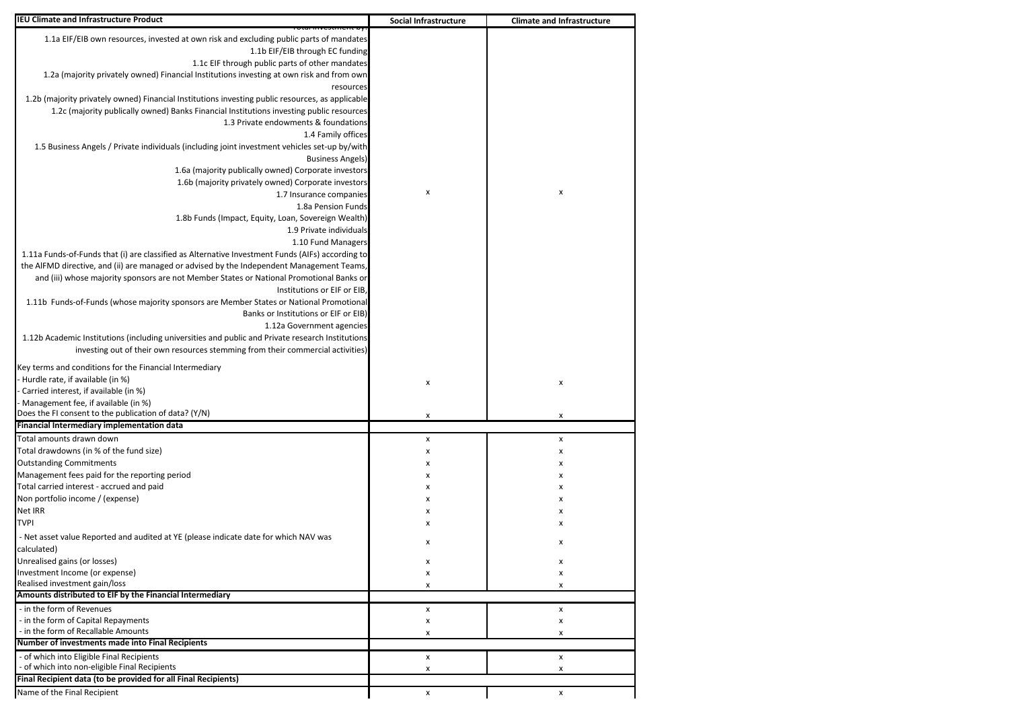| <b>IEU Climate and Infrastructure Product</b>                                                    | Social Infrastructure | <b>Climate and Infrastructure</b> |
|--------------------------------------------------------------------------------------------------|-----------------------|-----------------------------------|
| 1.1a EIF/EIB own resources, invested at own risk and excluding public parts of mandates          |                       |                                   |
| 1.1b EIF/EIB through EC funding                                                                  |                       |                                   |
| 1.1c EIF through public parts of other mandates                                                  |                       |                                   |
| 1.2a (majority privately owned) Financial Institutions investing at own risk and from own        |                       |                                   |
| resources                                                                                        |                       |                                   |
| 1.2b (majority privately owned) Financial Institutions investing public resources, as applicable |                       |                                   |
| 1.2c (majority publically owned) Banks Financial Institutions investing public resources         |                       |                                   |
| 1.3 Private endowments & foundations                                                             |                       |                                   |
| 1.4 Family offices                                                                               |                       |                                   |
| 1.5 Business Angels / Private individuals (including joint investment vehicles set-up by/with    |                       |                                   |
| <b>Business Angels)</b>                                                                          |                       |                                   |
| 1.6a (majority publically owned) Corporate investors                                             |                       |                                   |
| 1.6b (majority privately owned) Corporate investors                                              |                       |                                   |
| 1.7 Insurance companies                                                                          | x                     | x                                 |
| 1.8a Pension Funds                                                                               |                       |                                   |
| 1.8b Funds (Impact, Equity, Loan, Sovereign Wealth)                                              |                       |                                   |
| 1.9 Private individuals                                                                          |                       |                                   |
| 1.10 Fund Managers                                                                               |                       |                                   |
| 1.11a Funds-of-Funds that (i) are classified as Alternative Investment Funds (AIFs) according to |                       |                                   |
| the AIFMD directive, and (ii) are managed or advised by the Independent Management Teams,        |                       |                                   |
| and (iii) whose majority sponsors are not Member States or National Promotional Banks or         |                       |                                   |
| Institutions or EIF or EIB,                                                                      |                       |                                   |
| 1.11b Funds-of-Funds (whose majority sponsors are Member States or National Promotional          |                       |                                   |
| Banks or Institutions or EIF or EIB)                                                             |                       |                                   |
| 1.12a Government agencies                                                                        |                       |                                   |
| 1.12b Academic Institutions (including universities and public and Private research Institutions |                       |                                   |
| investing out of their own resources stemming from their commercial activities)                  |                       |                                   |
| Key terms and conditions for the Financial Intermediary                                          |                       |                                   |
| Hurdle rate, if available (in %)                                                                 |                       |                                   |
| Carried interest, if available (in %)                                                            | x                     | x                                 |
| Management fee, if available (in %)                                                              |                       |                                   |
| Does the FI consent to the publication of data? (Y/N)                                            | x                     | х                                 |
| Financial Intermediary implementation data                                                       |                       |                                   |
| Total amounts drawn down                                                                         | x                     | x                                 |
| Total drawdowns (in % of the fund size)                                                          | x                     | x                                 |
| <b>Outstanding Commitments</b>                                                                   | x                     | x                                 |
| Management fees paid for the reporting period                                                    | x                     | x                                 |
| Total carried interest - accrued and paid                                                        | x                     | x                                 |
| Non portfolio income / (expense)                                                                 | х                     | x                                 |
| Net IRR                                                                                          | x                     | х                                 |
| <b>TVPI</b>                                                                                      | x                     | x                                 |
| - Net asset value Reported and audited at YE (please indicate date for which NAV was             | x                     | х                                 |
| calculated)                                                                                      |                       |                                   |
| Unrealised gains (or losses)                                                                     | x                     | x                                 |
| Investment Income (or expense)                                                                   | x                     | x                                 |
| Realised investment gain/loss                                                                    | x                     | x                                 |
| Amounts distributed to EIF by the Financial Intermediary<br>- in the form of Revenues            |                       |                                   |
| - in the form of Capital Repayments                                                              | x                     | x                                 |
| - in the form of Recallable Amounts                                                              | x<br>x                | x<br>x                            |
| Number of investments made into Final Recipients                                                 |                       |                                   |
| - of which into Eligible Final Recipients                                                        | x                     | x                                 |
| - of which into non-eligible Final Recipients                                                    | х                     | x                                 |
| Final Recipient data (to be provided for all Final Recipients)                                   |                       |                                   |
| Name of the Final Recipient                                                                      | x                     | x                                 |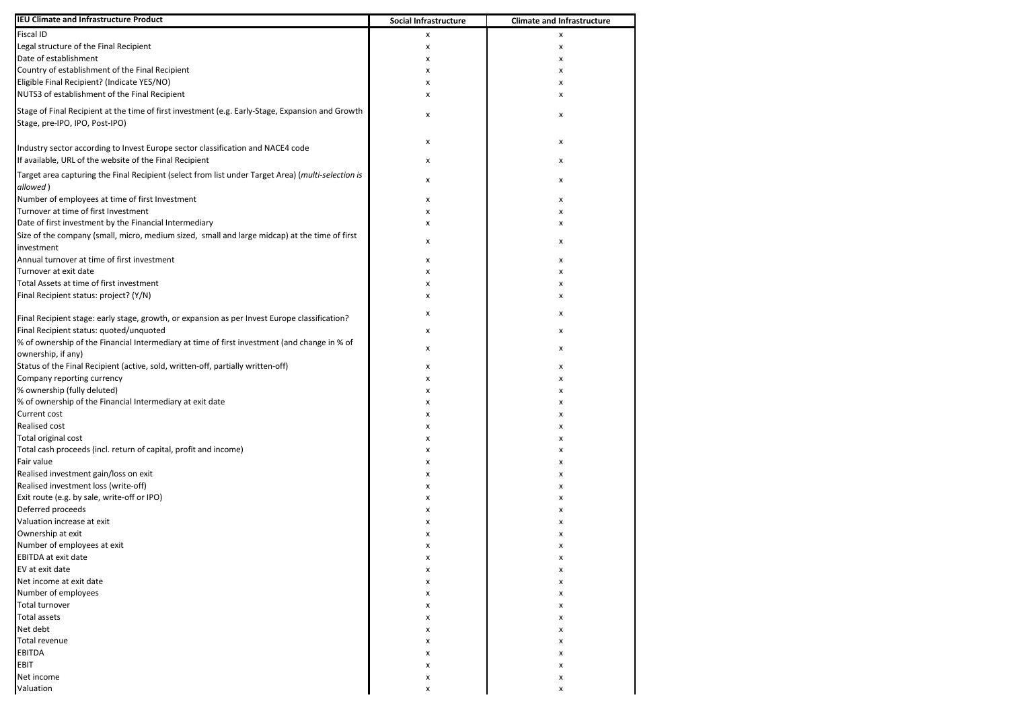| <b>IEU Climate and Infrastructure Product</b>                                                                                              | Social Infrastructure | <b>Climate and Infrastructure</b> |
|--------------------------------------------------------------------------------------------------------------------------------------------|-----------------------|-----------------------------------|
| <b>Fiscal ID</b>                                                                                                                           | x                     | x                                 |
| Legal structure of the Final Recipient                                                                                                     | x                     | x                                 |
| Date of establishment                                                                                                                      | x                     | x                                 |
| Country of establishment of the Final Recipient                                                                                            | x                     | x                                 |
| Eligible Final Recipient? (Indicate YES/NO)                                                                                                | x                     | x                                 |
| NUTS3 of establishment of the Final Recipient                                                                                              | x                     | x                                 |
| Stage of Final Recipient at the time of first investment (e.g. Early-Stage, Expansion and Growth<br>Stage, pre-IPO, IPO, Post-IPO)         | x                     | x                                 |
|                                                                                                                                            | x                     | x                                 |
| Industry sector according to Invest Europe sector classification and NACE4 code<br>If available, URL of the website of the Final Recipient |                       |                                   |
|                                                                                                                                            | x                     | х                                 |
| Target area capturing the Final Recipient (select from list under Target Area) (multi-selection is<br>allowed)                             | x                     | х                                 |
| Number of employees at time of first Investment                                                                                            | x                     | x                                 |
| Turnover at time of first Investment                                                                                                       | x                     | x                                 |
| Date of first investment by the Financial Intermediary                                                                                     | x                     | x                                 |
| Size of the company (small, micro, medium sized, small and large midcap) at the time of first<br>investment                                | x                     | х                                 |
| Annual turnover at time of first investment                                                                                                |                       |                                   |
|                                                                                                                                            | x                     | x                                 |
| Turnover at exit date<br>Total Assets at time of first investment                                                                          | x                     | x                                 |
|                                                                                                                                            | x                     | x                                 |
| Final Recipient status: project? (Y/N)                                                                                                     | x                     | x                                 |
| Final Recipient stage: early stage, growth, or expansion as per Invest Europe classification?                                              | x                     | x                                 |
| Final Recipient status: quoted/unquoted                                                                                                    | x                     | x                                 |
| % of ownership of the Financial Intermediary at time of first investment (and change in % of<br>ownership, if any)                         | x                     | x                                 |
| Status of the Final Recipient (active, sold, written-off, partially written-off)                                                           | x                     | x                                 |
| Company reporting currency                                                                                                                 | x                     | x                                 |
| % ownership (fully deluted)                                                                                                                | x                     | x                                 |
| % of ownership of the Financial Intermediary at exit date                                                                                  | x                     | х                                 |
| Current cost                                                                                                                               | x                     | x                                 |
| <b>Realised cost</b>                                                                                                                       | x                     | x                                 |
| Total original cost                                                                                                                        | x                     | х                                 |
| Total cash proceeds (incl. return of capital, profit and income)                                                                           | x                     | х                                 |
| Fair value                                                                                                                                 | x                     | х                                 |
| Realised investment gain/loss on exit                                                                                                      | x                     | х                                 |
| Realised investment loss (write-off)                                                                                                       | x                     | х                                 |
| Exit route (e.g. by sale, write-off or IPO)                                                                                                | x                     | х                                 |
| Deferred proceeds                                                                                                                          | x                     | x                                 |
| Valuation increase at exit                                                                                                                 | x                     | х                                 |
| Ownership at exit                                                                                                                          | x                     | x                                 |
| Number of employees at exit                                                                                                                | x                     | x                                 |
| <b>EBITDA</b> at exit date                                                                                                                 | x                     | x                                 |
| EV at exit date                                                                                                                            | x                     | x                                 |
| Net income at exit date                                                                                                                    | x                     | x                                 |
| Number of employees                                                                                                                        | x                     | x                                 |
| <b>Total turnover</b>                                                                                                                      | x                     | x                                 |
| <b>Total assets</b>                                                                                                                        | x                     | x                                 |
| Net debt                                                                                                                                   |                       |                                   |
| Total revenue                                                                                                                              | x                     | x                                 |
| EBITDA                                                                                                                                     | x                     | x                                 |
| EBIT                                                                                                                                       | x                     | x                                 |
| Net income                                                                                                                                 | x                     | x                                 |
| Valuation                                                                                                                                  | x                     | x<br>x                            |
|                                                                                                                                            | x                     |                                   |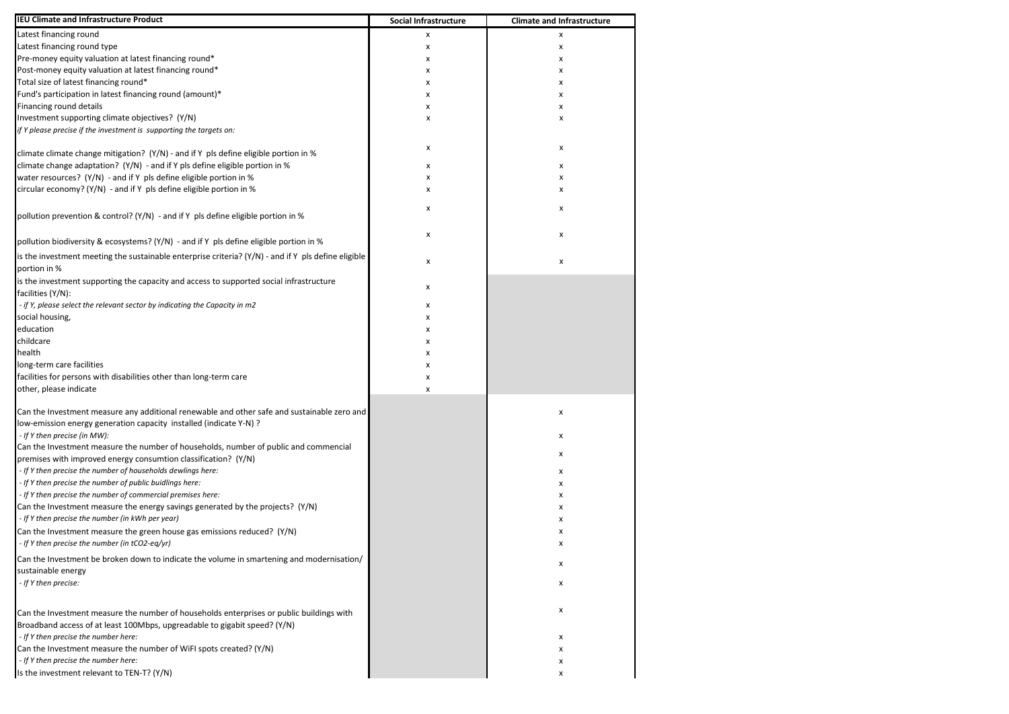| <b>IEU Climate and Infrastructure Product</b>                                                         | Social Infrastructure | <b>Climate and Infrastructure</b> |
|-------------------------------------------------------------------------------------------------------|-----------------------|-----------------------------------|
| Latest financing round                                                                                | x                     | x                                 |
| Latest financing round type                                                                           | x                     | x                                 |
| Pre-money equity valuation at latest financing round*                                                 | x                     | x                                 |
| Post-money equity valuation at latest financing round*                                                | x                     | х                                 |
| Total size of latest financing round*                                                                 | x                     | x                                 |
| Fund's participation in latest financing round (amount)*                                              | x                     | x                                 |
| Financing round details                                                                               | x                     | x                                 |
| Investment supporting climate objectives? (Y/N)                                                       | х                     | x                                 |
| if Y please precise if the investment is supporting the targets on:                                   |                       |                                   |
|                                                                                                       |                       |                                   |
| climate climate change mitigation? (Y/N) - and if Y pls define eligible portion in %                  | х                     | x                                 |
| climate change adaptation? $(Y/N)$ - and if Y pls define eligible portion in %                        | х                     | x                                 |
| water resources? $(Y/N)$ - and if Y pls define eligible portion in %                                  | х                     | x                                 |
| circular economy? ( $Y/N$ ) - and if Y pls define eligible portion in %                               | х                     | x                                 |
|                                                                                                       |                       |                                   |
|                                                                                                       | х                     | x                                 |
| pollution prevention & control? $(Y/N)$ - and if Y pls define eligible portion in %                   |                       |                                   |
|                                                                                                       | х                     | x                                 |
| pollution biodiversity & ecosystems? $(Y/N)$ - and if Y pls define eligible portion in %              |                       |                                   |
| is the investment meeting the sustainable enterprise criteria? $(Y/N)$ - and if Y pls define eligible | х                     | x                                 |
| portion in %                                                                                          |                       |                                   |
| is the investment supporting the capacity and access to supported social infrastructure               |                       |                                   |
| facilities (Y/N):                                                                                     | x                     |                                   |
| - if Y, please select the relevant sector by indicating the Capacity in m2                            | x                     |                                   |
| social housing,                                                                                       | x                     |                                   |
| education                                                                                             | х                     |                                   |
| childcare                                                                                             | x                     |                                   |
| health                                                                                                | x                     |                                   |
| long-term care facilities                                                                             | x                     |                                   |
| facilities for persons with disabilities other than long-term care                                    | x                     |                                   |
| other, please indicate                                                                                | X                     |                                   |
|                                                                                                       |                       |                                   |
| Can the Investment measure any additional renewable and other safe and sustainable zero and           |                       | x                                 |
| low-emission energy generation capacity installed (indicate Y-N) ?                                    |                       |                                   |
| - If Y then precise (in MW):                                                                          |                       | x                                 |
| Can the Investment measure the number of households, number of public and commencial                  |                       |                                   |
| premises with improved energy consumtion classification? (Y/N)                                        |                       | x                                 |
| - If Y then precise the number of households dewlings here:                                           |                       | х                                 |
| - If Y then precise the number of public buidlings here:                                              |                       | x                                 |
| - If Y then precise the number of commercial premises here:                                           |                       | x                                 |
| Can the Investment measure the energy savings generated by the projects? $(Y/N)$                      |                       | x                                 |
| - If Y then precise the number (in kWh per year)                                                      |                       | x                                 |
| Can the Investment measure the green house gas emissions reduced? (Y/N)                               |                       | х                                 |
| - If Y then precise the number (in tCO2-eq/yr)                                                        |                       | x                                 |
| Can the Investment be broken down to indicate the volume in smartening and modernisation/             |                       |                                   |
| sustainable energy                                                                                    |                       | x                                 |
| - If Y then precise:                                                                                  |                       |                                   |
|                                                                                                       |                       | x                                 |
|                                                                                                       |                       |                                   |
| Can the Investment measure the number of households enterprises or public buildings with              |                       | x                                 |
| Broadband access of at least 100Mbps, upgreadable to gigabit speed? (Y/N)                             |                       |                                   |
| - If Y then precise the number here:                                                                  |                       | x                                 |
| Can the Investment measure the number of WiFI spots created? (Y/N)                                    |                       | x                                 |
| - If Y then precise the number here:                                                                  |                       | x                                 |
| Is the investment relevant to TEN-T? (Y/N)                                                            |                       | x                                 |